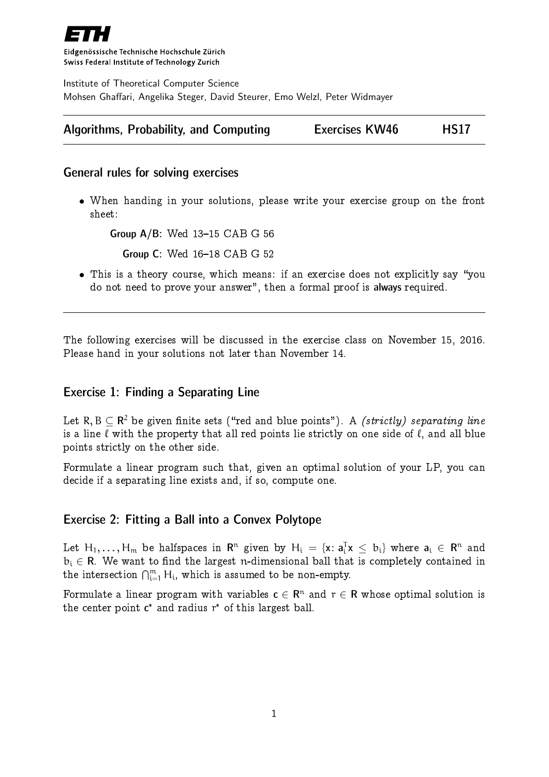

Eidgenössische Technische Hochschule Zürich Swiss Federal Institute of Technology Zurich

Institute of Theoretical Computer Science Mohsen Ghaffari, Angelika Steger, David Steurer, Emo Welzl, Peter Widmayer

| Algorithms, Probability, and Computing | <b>Exercises KW46</b> | <b>HS17</b> |
|----------------------------------------|-----------------------|-------------|
|----------------------------------------|-----------------------|-------------|

#### General rules for solving exercises

 When handing in your solutions, please write your exercise group on the front sheet:

Group  $A/B$ : Wed  $13-15$  CAB G 56

**Group C: Wed 16-18 CAB G 52** 

• This is a theory course, which means: if an exercise does not explicitly say "you do not need to prove your answer", then a formal proof is always required.

The following exercises will be discussed in the exercise class on November 15, 2016. Please hand in your solutions not later than November 14.

# Exercise 1: Finding a Separating Line

Let R, B  $\subseteq$   $\mathsf{R}^2$  be given finite sets ("red and blue points"). A *(strictly) separating line* is a line  $\ell$  with the property that all red points lie strictly on one side of  $\ell$ , and all blue points strictly on the other side.

Formulate a linear program such that, given an optimal solution of your LP, you can decide if a separating line exists and, if so, compute one.

## Exercise 2: Fitting a Ball into a Convex Polytope

Let  $H_1,\ldots,H_m$  be halfspaces in  ${\sf R}^n$  given by  $H_i$  = { ${\sf x}\colon {\sf a}_i^{\sf T}{\sf x}\,\le\,$   $b_i\}$  where  ${\sf a}_i$   $\in$   ${\sf R}^n$  and  $b_i \in \mathbb{R}$ . We want to find the largest n-dimensional ball that is completely contained in the intersection  $\bigcap_{i=1}^m H_i$ , which is assumed to be non-empty.

Formulate a linear program with variables  $\mathsf{c}\in\mathsf{R}^{\mathsf{n}}$  and  $\mathsf{r}\in\mathsf{R}$  whose optimal solution is the center point  $c^*$  and radius  $r^*$  of this largest ball.